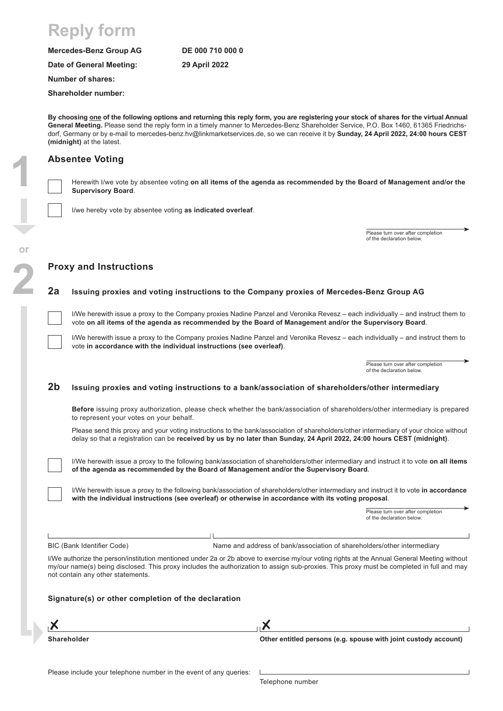# **Reply form**

| Mercedes-Benz Group AG |  |
|------------------------|--|
|                        |  |

**Date of General Meeting: 29 April 2022**

**Number of shares:** 

**Shareholder number:**

**By choosing one of the following options and returning this reply form, you are registering your stock of shares for the virtual Annual**  General Meeting. Please send the reply form in a timely manner to Mercedes-Benz Shareholder Service, P.O. Box 1460, 61365 Friedrichsdorf, Germany or by e-mail to mercedes-benz.hv@linkmarketservices.de, so we can receive it by **Sunday, 24 April 2022, 24:00 hours CEST (midnight)** at the latest.

Herewith I/we vote by absentee voting **on all items of the agenda as recommended by the Board of Management and/or the** 

## **Absentee Voting**

| I |
|---|
|   |
| I |
|   |

**2**

**or**

**Supervisory Board**.

**Mercedes-Benz Group AG DE 000 710 000 0**

I/we hereby vote by absentee voting **as indicated overleaf**.

Please turn over after completion of the declaration below.

### **Proxy and Instructions**

### **2a Issuing proxies and voting instructions to the Company proxies of Mercedes-Benz Group AG**

I/We herewith issue a proxy to the Company proxies Nadine Panzel and Veronika Revesz – each individually – and instruct them to vote **on all items of the agenda as recommended by the Board of Management and/or the Supervisory Board**.

I/We herewith issue a proxy to the Company proxies Nadine Panzel and Veronika Revesz – each individually – and instruct them to vote **in accordance with the individual instructions (see overleaf)**.

> Please turn over after completion of the declaration below.

## **2b Issuing proxies and voting instructions to a bank/association of shareholders/other intermediary**

**Before** issuing proxy authorization, please check whether the bank/association of shareholders/other intermediary is prepared to represent your votes on your behalf.

Please send this proxy and your voting instructions to the bank/association of shareholders/other intermediary of your choice without delay so that a registration can be **received by us by no later than Sunday, 24 April 2022, 24:00 hours CEST (midnight)**.

I/We herewith issue a proxy to the following bank/association of shareholders/other intermediary and instruct it to vote **on all items of the agenda as recommended by the Board of Management and/or the Supervisory Board**.

I/We herewith issue a proxy to the following bank/association of shareholders/other intermediary and instruct it to vote **in accordance with the individual instructions (see overleaf) or otherwise in accordance with its voting proposal**.

> Please turn over after completion of the declaration below.

BIC (Bank Identifier Code) Name and address of bank/association of shareholders/other intermediary

I/We authorize the person/institution mentioned under 2a or 2b above to exercise my/our voting rights at the Annual General Meeting without my/our name(s) being disclosed. This proxy includes the authorization to assign sub-proxies. This proxy must be completed in full and may not contain any other statements.

#### **Signature(s) or other completion of the declaration**

| Shareholder | Other entitled persons (e.g. spouse with joint custody account) |  |  |
|-------------|-----------------------------------------------------------------|--|--|